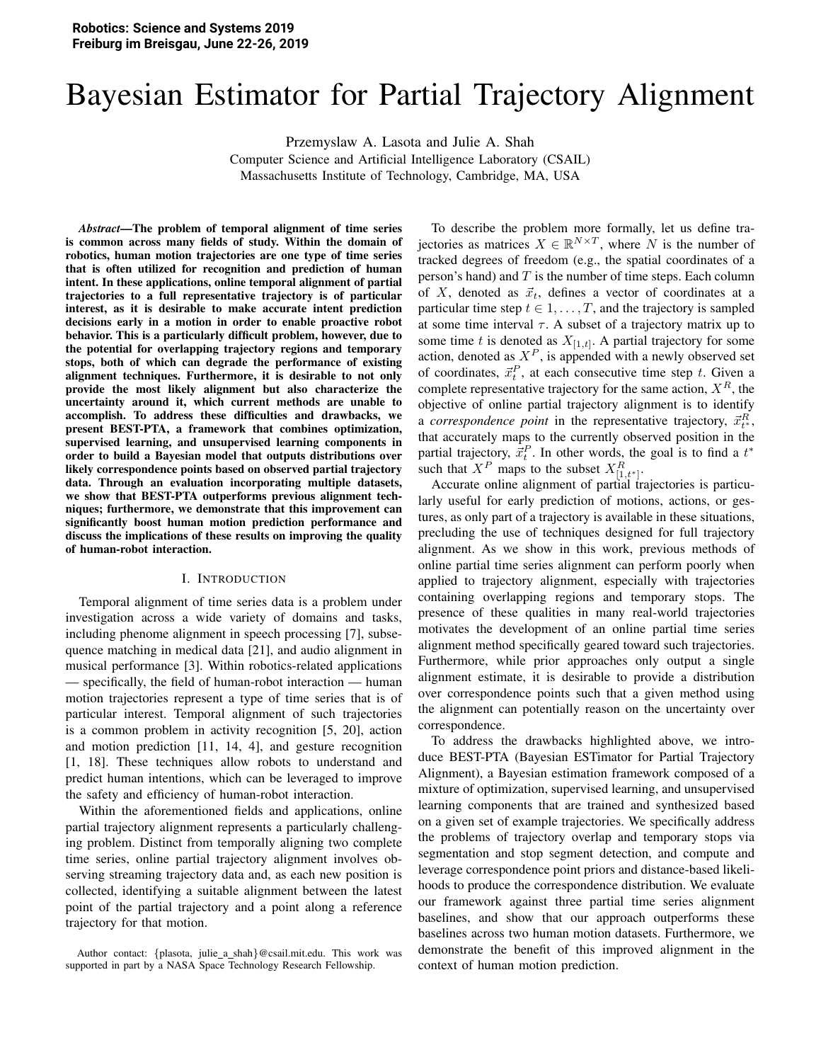# Bayesian Estimator for Partial Trajectory Alignment

Przemyslaw A. Lasota and Julie A. Shah

Computer Science and Artificial Intelligence Laboratory (CSAIL) Massachusetts Institute of Technology, Cambridge, MA, USA

*Abstract*—The problem of temporal alignment of time series is common across many fields of study. Within the domain of robotics, human motion trajectories are one type of time series that is often utilized for recognition and prediction of human intent. In these applications, online temporal alignment of partial trajectories to a full representative trajectory is of particular interest, as it is desirable to make accurate intent prediction decisions early in a motion in order to enable proactive robot behavior. This is a particularly difficult problem, however, due to the potential for overlapping trajectory regions and temporary stops, both of which can degrade the performance of existing alignment techniques. Furthermore, it is desirable to not only provide the most likely alignment but also characterize the uncertainty around it, which current methods are unable to accomplish. To address these difficulties and drawbacks, we present BEST-PTA, a framework that combines optimization, supervised learning, and unsupervised learning components in order to build a Bayesian model that outputs distributions over likely correspondence points based on observed partial trajectory data. Through an evaluation incorporating multiple datasets, we show that BEST-PTA outperforms previous alignment techniques; furthermore, we demonstrate that this improvement can significantly boost human motion prediction performance and discuss the implications of these results on improving the quality of human-robot interaction.

#### I. INTRODUCTION

Temporal alignment of time series data is a problem under investigation across a wide variety of domains and tasks, including phenome alignment in speech processing [7], subsequence matching in medical data [21], and audio alignment in musical performance [3]. Within robotics-related applications — specifically, the field of human-robot interaction — human motion trajectories represent a type of time series that is of particular interest. Temporal alignment of such trajectories is a common problem in activity recognition [5, 20], action and motion prediction [11, 14, 4], and gesture recognition [1, 18]. These techniques allow robots to understand and predict human intentions, which can be leveraged to improve the safety and efficiency of human-robot interaction.

Within the aforementioned fields and applications, online partial trajectory alignment represents a particularly challenging problem. Distinct from temporally aligning two complete time series, online partial trajectory alignment involves observing streaming trajectory data and, as each new position is collected, identifying a suitable alignment between the latest point of the partial trajectory and a point along a reference trajectory for that motion.

To describe the problem more formally, let us define trajectories as matrices  $X \in \mathbb{R}^{N \times T}$ , where N is the number of tracked degrees of freedom (e.g., the spatial coordinates of a person's hand) and  $T$  is the number of time steps. Each column of X, denoted as  $\vec{x}_t$ , defines a vector of coordinates at a particular time step  $t \in 1, \ldots, T$ , and the trajectory is sampled at some time interval  $\tau$ . A subset of a trajectory matrix up to some time t is denoted as  $X_{[1,t]}$ . A partial trajectory for some action, denoted as  $X^P$ , is appended with a newly observed set of coordinates,  $\vec{x}_t^P$ , at each consecutive time step t. Given a complete representative trajectory for the same action,  $X^R$ , the objective of online partial trajectory alignment is to identify a *correspondence point* in the representative trajectory,  $\vec{x}_{t^*}^R$ , that accurately maps to the currently observed position in the partial trajectory,  $\vec{x}_t^P$ . In other words, the goal is to find a  $t^*$ such that  $X^P$  maps to the subset  $X_{[1,t^*]}^R$ .

Accurate online alignment of partial trajectories is particularly useful for early prediction of motions, actions, or gestures, as only part of a trajectory is available in these situations, precluding the use of techniques designed for full trajectory alignment. As we show in this work, previous methods of online partial time series alignment can perform poorly when applied to trajectory alignment, especially with trajectories containing overlapping regions and temporary stops. The presence of these qualities in many real-world trajectories motivates the development of an online partial time series alignment method specifically geared toward such trajectories. Furthermore, while prior approaches only output a single alignment estimate, it is desirable to provide a distribution over correspondence points such that a given method using the alignment can potentially reason on the uncertainty over correspondence.

To address the drawbacks highlighted above, we introduce BEST-PTA (Bayesian ESTimator for Partial Trajectory Alignment), a Bayesian estimation framework composed of a mixture of optimization, supervised learning, and unsupervised learning components that are trained and synthesized based on a given set of example trajectories. We specifically address the problems of trajectory overlap and temporary stops via segmentation and stop segment detection, and compute and leverage correspondence point priors and distance-based likelihoods to produce the correspondence distribution. We evaluate our framework against three partial time series alignment baselines, and show that our approach outperforms these baselines across two human motion datasets. Furthermore, we demonstrate the benefit of this improved alignment in the context of human motion prediction.

Author contact: {plasota, julie\_a\_shah}@csail.mit.edu. This work was supported in part by a NASA Space Technology Research Fellowship.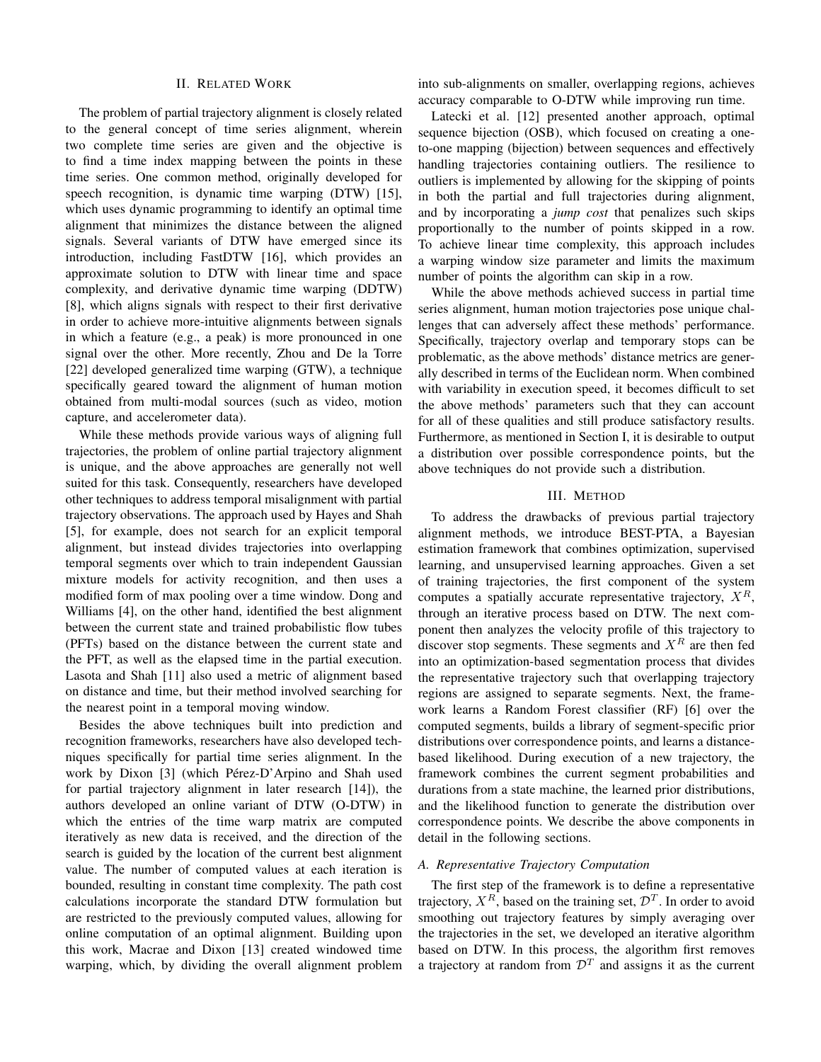#### **II. RELATED WORK**

The problem of partial trajectory alignment is closely related to the general concept of time series alignment, wherein two complete time series are given and the objective is to find a time index mapping between the points in these time series. One common method, originally developed for speech recognition, is dynamic time warping (DTW) [15], which uses dynamic programming to identify an optimal time alignment that minimizes the distance between the aligned signals. Several variants of DTW have emerged since its introduction, including FastDTW [16], which provides an approximate solution to DTW with linear time and space complexity, and derivative dynamic time warping (DDTW) [8], which aligns signals with respect to their first derivative in order to achieve more-intuitive alignments between signals in which a feature (e.g., a peak) is more pronounced in one signal over the other. More recently, Zhou and De la Torre [22] developed generalized time warping (GTW), a technique specifically geared toward the alignment of human motion obtained from multi-modal sources (such as video, motion capture, and accelerometer data).

While these methods provide various ways of aligning full trajectories, the problem of online partial trajectory alignment is unique, and the above approaches are generally not well suited for this task. Consequently, researchers have developed other techniques to address temporal misalignment with partial trajectory observations. The approach used by Hayes and Shah [5], for example, does not search for an explicit temporal alignment, but instead divides trajectories into overlapping temporal segments over which to train independent Gaussian mixture models for activity recognition, and then uses a modified form of max pooling over a time window. Dong and Williams [4], on the other hand, identified the best alignment between the current state and trained probabilistic flow tubes (PFTs) based on the distance between the current state and the PFT, as well as the elapsed time in the partial execution. Lasota and Shah [11] also used a metric of alignment based on distance and time, but their method involved searching for the nearest point in a temporal moving window.

Besides the above techniques built into prediction and recognition frameworks, researchers have also developed techniques specifically for partial time series alignment. In the work by Dixon [3] (which Pérez-D'Arpino and Shah used for partial trajectory alignment in later research [14]), the authors developed an online variant of DTW (O-DTW) in which the entries of the time warp matrix are computed iteratively as new data is received, and the direction of the search is guided by the location of the current best alignment value. The number of computed values at each iteration is bounded, resulting in constant time complexity. The path cost calculations incorporate the standard DTW formulation but are restricted to the previously computed values, allowing for online computation of an optimal alignment. Building upon this work, Macrae and Dixon [13] created windowed time warping, which, by dividing the overall alignment problem into sub-alignments on smaller, overlapping regions, achieves accuracy comparable to O-DTW while improving run time.

Latecki et al. [12] presented another approach, optimal sequence bijection (OSB), which focused on creating a oneto-one mapping (bijection) between sequences and effectively handling trajectories containing outliers. The resilience to outliers is implemented by allowing for the skipping of points in both the partial and full trajectories during alignment, and by incorporating a jump cost that penalizes such skips proportionally to the number of points skipped in a row. To achieve linear time complexity, this approach includes a warping window size parameter and limits the maximum number of points the algorithm can skip in a row.

While the above methods achieved success in partial time series alignment, human motion trajectories pose unique challenges that can adversely affect these methods' performance. Specifically, trajectory overlap and temporary stops can be problematic, as the above methods' distance metrics are generally described in terms of the Euclidean norm. When combined with variability in execution speed, it becomes difficult to set the above methods' parameters such that they can account for all of these qualities and still produce satisfactory results. Furthermore, as mentioned in Section I, it is desirable to output a distribution over possible correspondence points, but the above techniques do not provide such a distribution.

## **III. METHOD**

To address the drawbacks of previous partial trajectory alignment methods, we introduce BEST-PTA, a Bayesian estimation framework that combines optimization, supervised learning, and unsupervised learning approaches. Given a set of training trajectories, the first component of the system computes a spatially accurate representative trajectory,  $X^R$ , through an iterative process based on DTW. The next component then analyzes the velocity profile of this trajectory to discover stop segments. These segments and  $X^R$  are then fed into an optimization-based segmentation process that divides the representative trajectory such that overlapping trajectory regions are assigned to separate segments. Next, the framework learns a Random Forest classifier (RF) [6] over the computed segments, builds a library of segment-specific prior distributions over correspondence points, and learns a distancebased likelihood. During execution of a new trajectory, the framework combines the current segment probabilities and durations from a state machine, the learned prior distributions, and the likelihood function to generate the distribution over correspondence points. We describe the above components in detail in the following sections.

# A. Representative Trajectory Computation

The first step of the framework is to define a representative trajectory,  $X^R$ , based on the training set,  $\mathcal{D}^T$ . In order to avoid smoothing out trajectory features by simply averaging over the trajectories in the set, we developed an iterative algorithm based on DTW. In this process, the algorithm first removes a trajectory at random from  $\mathcal{D}^T$  and assigns it as the current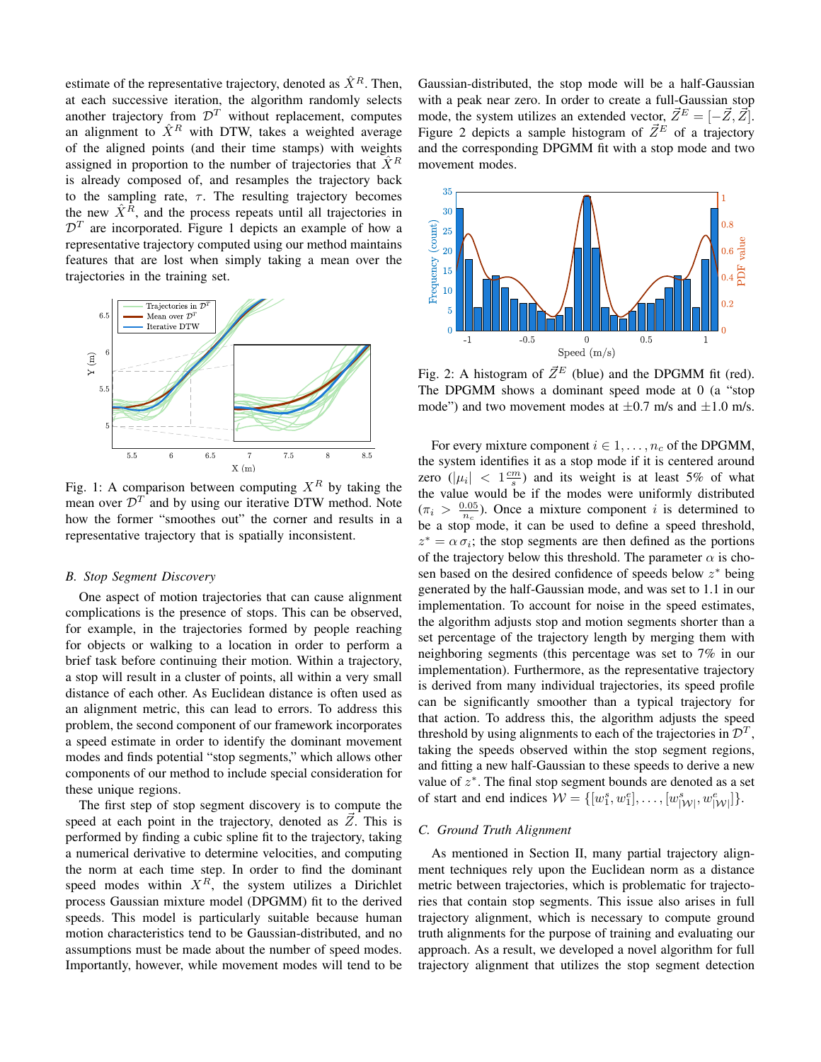estimate of the representative trajectory, denoted as  $\hat{X}^R$ . Then, at each successive iteration, the algorithm randomly selects another trajectory from  $\mathcal{D}^T$  without replacement, computes an alignment to  $\hat{X}^R$  with DTW, takes a weighted average of the aligned points (and their time stamps) with weights assigned in proportion to the number of trajectories that  $\hat{X}^R$ is already composed of, and resamples the trajectory back to the sampling rate,  $\tau$ . The resulting trajectory becomes the new  $\hat{X}^{\tilde{R}}$ , and the process repeats until all trajectories in  $\mathcal{D}^T$  are incorporated. Figure 1 depicts an example of how a representative trajectory computed using our method maintains features that are lost when simply taking a mean over the trajectories in the training set.



Fig. 1: A comparison between computing  $X^R$  by taking the mean over  $\mathcal{D}^T$  and by using our iterative DTW method. Note how the former "smoothes out" the corner and results in a representative trajectory that is spatially inconsistent.

# **B.** Stop Segment Discovery

One aspect of motion trajectories that can cause alignment complications is the presence of stops. This can be observed, for example, in the trajectories formed by people reaching for objects or walking to a location in order to perform a brief task before continuing their motion. Within a trajectory, a stop will result in a cluster of points, all within a very small distance of each other. As Euclidean distance is often used as an alignment metric, this can lead to errors. To address this problem, the second component of our framework incorporates a speed estimate in order to identify the dominant movement modes and finds potential "stop segments," which allows other components of our method to include special consideration for these unique regions.

The first step of stop segment discovery is to compute the speed at each point in the trajectory, denoted as  $Z$ . This is performed by finding a cubic spline fit to the trajectory, taking a numerical derivative to determine velocities, and computing the norm at each time step. In order to find the dominant speed modes within  $X^R$ , the system utilizes a Dirichlet process Gaussian mixture model (DPGMM) fit to the derived speeds. This model is particularly suitable because human motion characteristics tend to be Gaussian-distributed, and no assumptions must be made about the number of speed modes. Importantly, however, while movement modes will tend to be

Gaussian-distributed, the stop mode will be a half-Gaussian with a peak near zero. In order to create a full-Gaussian stop mode, the system utilizes an extended vector,  $\vec{Z}^E = [-\vec{Z}, \vec{Z}]$ . Figure 2 depicts a sample histogram of  $\vec{Z}^E$  of a trajectory and the corresponding DPGMM fit with a stop mode and two movement modes.



Fig. 2: A histogram of  $\vec{Z}^E$  (blue) and the DPGMM fit (red). The DPGMM shows a dominant speed mode at 0 (a "stop mode") and two movement modes at  $\pm 0.7$  m/s and  $\pm 1.0$  m/s.

For every mixture component  $i \in 1, \ldots, n_c$  of the DPGMM, the system identifies it as a stop mode if it is centered around zero  $(|\mu_i| < 1^{\frac{cm}{2}})$  and its weight is at least 5% of what the value would be if the modes were uniformly distributed  $(\pi_i > \frac{0.05}{n_0})$ . Once a mixture component *i* is determined to be a stop mode, it can be used to define a speed threshold,  $z^* = \alpha \sigma_i$ ; the stop segments are then defined as the portions of the trajectory below this threshold. The parameter  $\alpha$  is chosen based on the desired confidence of speeds below  $z^*$  being generated by the half-Gaussian mode, and was set to 1.1 in our implementation. To account for noise in the speed estimates, the algorithm adjusts stop and motion segments shorter than a set percentage of the trajectory length by merging them with neighboring segments (this percentage was set to  $7\%$  in our implementation). Furthermore, as the representative trajectory is derived from many individual trajectories, its speed profile can be significantly smoother than a typical trajectory for that action. To address this, the algorithm adjusts the speed threshold by using alignments to each of the trajectories in  $\mathcal{D}^T$ , taking the speeds observed within the stop segment regions, and fitting a new half-Gaussian to these speeds to derive a new value of  $z^*$ . The final stop segment bounds are denoted as a set of start and end indices  $W = \{ [w_1^s, w_1^e], \dots, [w_{|W|}^s, w_{|W|}^e] \}.$ 

#### C. Ground Truth Alignment

As mentioned in Section II, many partial trajectory alignment techniques rely upon the Euclidean norm as a distance metric between trajectories, which is problematic for trajectories that contain stop segments. This issue also arises in full trajectory alignment, which is necessary to compute ground truth alignments for the purpose of training and evaluating our approach. As a result, we developed a novel algorithm for full trajectory alignment that utilizes the stop segment detection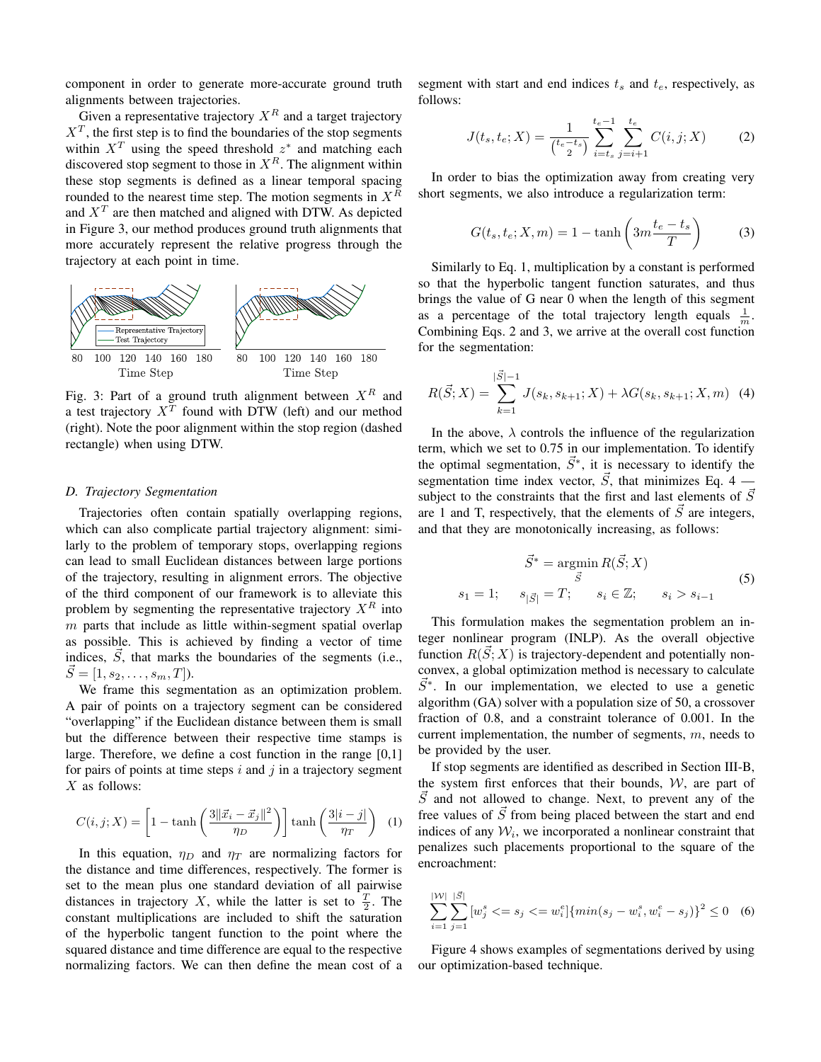component in order to generate more-accurate ground truth alignments between trajectories.

Given a representative trajectory  $X^R$  and a target trajectory  $X<sup>T</sup>$ , the first step is to find the boundaries of the stop segments within  $X^T$  using the speed threshold  $z^*$  and matching each discovered stop segment to those in  $X^R$ . The alignment within these stop segments is defined as a linear temporal spacing rounded to the nearest time step. The motion segments in  $X^R$ and  $X<sup>T</sup>$  are then matched and aligned with DTW. As depicted in Figure 3, our method produces ground truth alignments that more accurately represent the relative progress through the trajectory at each point in time.



Fig. 3: Part of a ground truth alignment between  $X^R$  and<br>a test trajectory  $X^T$  found with DTW (left) and our method (right). Note the poor alignment within the stop region (dashed rectangle) when using DTW.

## D. Trajectory Segmentation

Trajectories often contain spatially overlapping regions, which can also complicate partial trajectory alignment: similarly to the problem of temporary stops, overlapping regions can lead to small Euclidean distances between large portions of the trajectory, resulting in alignment errors. The objective of the third component of our framework is to alleviate this problem by segmenting the representative trajectory  $X^R$  into  $m$  parts that include as little within-segment spatial overlap as possible. This is achieved by finding a vector of time indices,  $\vec{S}$ , that marks the boundaries of the segments (i.e.,  $\vec{S} = [1, s_2, \ldots, s_m, T].$ 

We frame this segmentation as an optimization problem. A pair of points on a trajectory segment can be considered "overlapping" if the Euclidean distance between them is small but the difference between their respective time stamps is large. Therefore, we define a cost function in the range  $[0,1]$ for pairs of points at time steps  $i$  and  $j$  in a trajectory segment  $X$  as follows:

$$
C(i,j;X) = \left[1 - \tanh\left(\frac{3\|\vec{x}_i - \vec{x}_j\|^2}{\eta_D}\right)\right] \tanh\left(\frac{3|i-j|}{\eta_T}\right) \tag{1}
$$

In this equation,  $\eta_D$  and  $\eta_T$  are normalizing factors for the distance and time differences, respectively. The former is set to the mean plus one standard deviation of all pairwise distances in trajectory X, while the latter is set to  $\frac{T}{2}$ . The constant multiplications are included to shift the saturation of the hyperbolic tangent function to the point where the squared distance and time difference are equal to the respective normalizing factors. We can then define the mean cost of a segment with start and end indices  $t_s$  and  $t_e$ , respectively, as  $follows$ 

$$
J(t_s, t_e; X) = \frac{1}{\binom{t_e - t_s}{2}} \sum_{i=t_s}^{t_e - 1} \sum_{j=i+1}^{t_e} C(i, j; X)
$$
 (2)

In order to bias the optimization away from creating very short segments, we also introduce a regularization term:

$$
G(t_s, t_e; X, m) = 1 - \tanh\left(3m\frac{t_e - t_s}{T}\right) \tag{3}
$$

Similarly to Eq. 1, multiplication by a constant is performed so that the hyperbolic tangent function saturates, and thus brings the value of G near 0 when the length of this segment as a percentage of the total trajectory length equals  $\frac{1}{m}$ . Combining Eqs. 2 and 3, we arrive at the overall cost function for the segmentation:

$$
R(\vec{S};X) = \sum_{k=1}^{|\vec{S}|-1} J(s_k, s_{k+1};X) + \lambda G(s_k, s_{k+1};X,m)
$$
 (4)

In the above,  $\lambda$  controls the influence of the regularization term, which we set to 0.75 in our implementation. To identify the optimal segmentation,  $\vec{S}^*$ , it is necessary to identify the segmentation time index vector,  $\vec{S}$ , that minimizes Eq. 4 – subject to the constraints that the first and last elements of  $\vec{S}$ are 1 and T, respectively, that the elements of  $\vec{S}$  are integers, and that they are monotonically increasing, as follows:

$$
\vec{S}^* = \underset{\vec{S}}{\operatorname{argmin}} R(\vec{S}; X)
$$
  

$$
s_1 = 1; \quad s_{|\vec{S}|} = T; \quad s_i \in \mathbb{Z}; \quad s_i > s_{i-1}
$$
 (5)

This formulation makes the segmentation problem an integer nonlinear program (INLP). As the overall objective function  $R(S; X)$  is trajectory-dependent and potentially nonconvex, a global optimization method is necessary to calculate  $S^*$ . In our implementation, we elected to use a genetic algorithm (GA) solver with a population size of 50, a crossover fraction of 0.8, and a constraint tolerance of 0.001. In the current implementation, the number of segments,  $m$ , needs to be provided by the user.

If stop segments are identified as described in Section III-B, the system first enforces that their bounds,  $W$ , are part of  $\vec{S}$  and not allowed to change. Next, to prevent any of the free values of  $\vec{S}$  from being placed between the start and end indices of any  $W_i$ , we incorporated a nonlinear constraint that penalizes such placements proportional to the square of the encroachment:

$$
\sum_{i=1}^{|\mathcal{W}|} \sum_{j=1}^{|\vec{S}|} [w_j^s \langle s = s_j \langle s = w_i^e] \{ \min(s_j - w_i^s, w_i^e - s_j) \}^2 \le 0 \quad (6)
$$

Figure 4 shows examples of segmentations derived by using our optimization-based technique.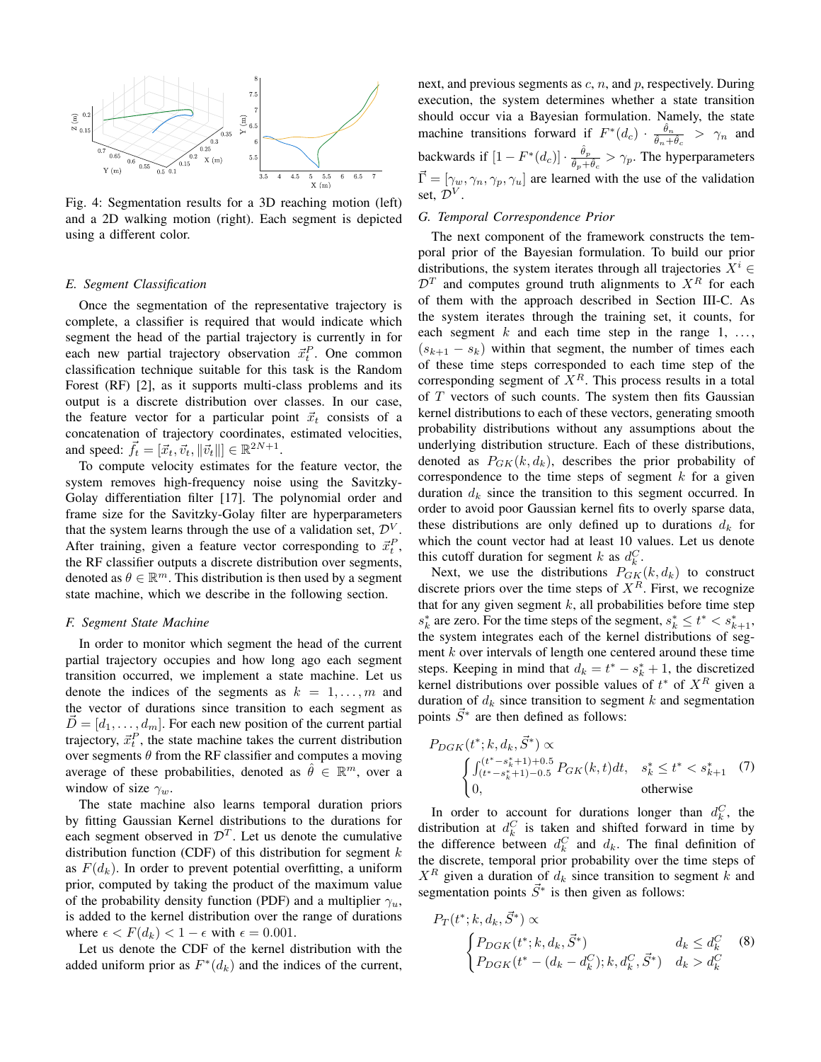

Fig. 4: Segmentation results for a 3D reaching motion (left) and a 2D walking motion (right). Each segment is depicted using a different color.

#### E. Segment Classification

Once the segmentation of the representative trajectory is complete, a classifier is required that would indicate which segment the head of the partial trajectory is currently in for each new partial trajectory observation  $\vec{x}_t^P$ . One common classification technique suitable for this task is the Random Forest (RF) [2], as it supports multi-class problems and its output is a discrete distribution over classes. In our case, the feature vector for a particular point  $\vec{x}_t$  consists of a concatenation of trajectory coordinates, estimated velocities, and speed:  $\vec{f}_t = [\vec{x}_t, \vec{v}_t, ||\vec{v}_t||] \in \mathbb{R}^{2N+1}$ .

To compute velocity estimates for the feature vector, the system removes high-frequency noise using the Savitzky-Golay differentiation filter [17]. The polynomial order and frame size for the Savitzky-Golay filter are hyperparameters that the system learns through the use of a validation set,  $\mathcal{D}^V$ . After training, given a feature vector corresponding to  $\vec{x}_t^P$ , the RF classifier outputs a discrete distribution over segments, denoted as  $\theta \in \mathbb{R}^m$ . This distribution is then used by a segment state machine, which we describe in the following section.

### F. Segment State Machine

In order to monitor which segment the head of the current partial trajectory occupies and how long ago each segment transition occurred, we implement a state machine. Let us denote the indices of the segments as  $k = 1, \ldots, m$  and the vector of durations since transition to each segment as  $\vec{D} = [d_1, \dots, d_m]$ . For each new position of the current partial trajectory,  $\vec{x}_t^P$ , the state machine takes the current distribution over segments  $\theta$  from the RF classifier and computes a moving average of these probabilities, denoted as  $\hat{\theta} \in \mathbb{R}^m$ , over a window of size  $\gamma_w$ .

The state machine also learns temporal duration priors by fitting Gaussian Kernel distributions to the durations for each segment observed in  $\mathcal{D}^T$ . Let us denote the cumulative distribution function (CDF) of this distribution for segment  $k$ as  $F(d_k)$ . In order to prevent potential overfitting, a uniform prior, computed by taking the product of the maximum value of the probability density function (PDF) and a multiplier  $\gamma_u$ , is added to the kernel distribution over the range of durations where  $\epsilon < F(d_k) < 1 - \epsilon$  with  $\epsilon = 0.001$ .

Let us denote the CDF of the kernel distribution with the added uniform prior as  $F^*(d_k)$  and the indices of the current, next, and previous segments as  $c, n$ , and  $p$ , respectively. During execution, the system determines whether a state transition should occur via a Bayesian formulation. Namely, the state machine transitions forward if  $F^*(d_c) \cdot \frac{\hat{\theta}_n}{\hat{\theta}_n + \hat{\theta}_c} > \gamma_n$  and backwards if  $[1 - F^*(d_c)] \cdot \frac{\hat{\theta}_p}{\hat{\theta}_p + \hat{\theta}_c} > \gamma_p$ . The hyperparameters  $\vec{\Gamma} = [\gamma_w, \gamma_n, \gamma_p, \gamma_u]$  are learned with the use of the validation set.  $\mathcal{D}^V$ .

# G. Temporal Correspondence Prior

The next component of the framework constructs the temporal prior of the Bayesian formulation. To build our prior distributions, the system iterates through all trajectories  $X^i$   $\in$  $\mathcal{D}^T$  and computes ground truth alignments to  $X^R$  for each of them with the approach described in Section III-C. As the system iterates through the training set, it counts, for each segment  $k$  and each time step in the range  $1, \ldots,$  $(s_{k+1} - s_k)$  within that segment, the number of times each of these time steps corresponded to each time step of the corresponding segment of  $X^R$ . This process results in a total of  $T$  vectors of such counts. The system then fits Gaussian kernel distributions to each of these vectors, generating smooth probability distributions without any assumptions about the underlying distribution structure. Each of these distributions, denoted as  $P_{GK}(k, d_k)$ , describes the prior probability of correspondence to the time steps of segment  $k$  for a given duration  $d_k$  since the transition to this segment occurred. In order to avoid poor Gaussian kernel fits to overly sparse data, these distributions are only defined up to durations  $d_k$  for which the count vector had at least 10 values. Let us denote this cutoff duration for segment k as  $d_k^C$ .

Next, we use the distributions  $P_{GK}(k, d_k)$  to construct discrete priors over the time steps of  $X<sup>R</sup>$ . First, we recognize that for any given segment  $k$ , all probabilities before time step  $s_k^*$  are zero. For the time steps of the segment,  $s_k^* \leq t^* < s_{k+1}^*$ , the system integrates each of the kernel distributions of segment  $k$  over intervals of length one centered around these time steps. Keeping in mind that  $d_k = t^* - s^* + 1$ , the discretized kernel distributions over possible values of  $t^*$  of  $X^R$  given a duration of  $d_k$  since transition to segment  $k$  and segmentation points  $\vec{S}^*$  are then defined as follows:

$$
P_{DGK}(t^*; k, d_k, S^*) \propto \begin{cases} \int_{(t^* - s_k^* + 1) + 0.5}^{(t^* - s_k^* + 1) + 0.5} P_{GK}(k, t) dt, & s_k^* \le t^* < s_{k+1}^* \\ 0, & \text{otherwise} \end{cases} (7)
$$

In order to account for durations longer than  $d_k^C$ , the distribution at  $d_k^C$  is taken and shifted forward in time by the difference between  $d_k^C$  and  $d_k$ . The final definition of the discrete, temporal prior probability over the time steps of  $X^R$  given a duration of  $d_k$  since transition to segment k and segmentation points  $\vec{S}^*$  is then given as follows:

$$
P_T(t^*; k, d_k, S^*) \propto
$$
\n
$$
\begin{cases}\nP_{D G K}(t^*; k, d_k, \vec{S}^*) & d_k \leq d_k^C \\
P_{D G K}(t^* - (d_k - d_k^C); k, d_k^C, \vec{S}^*) & d_k > d_k^C\n\end{cases}
$$
\n(8)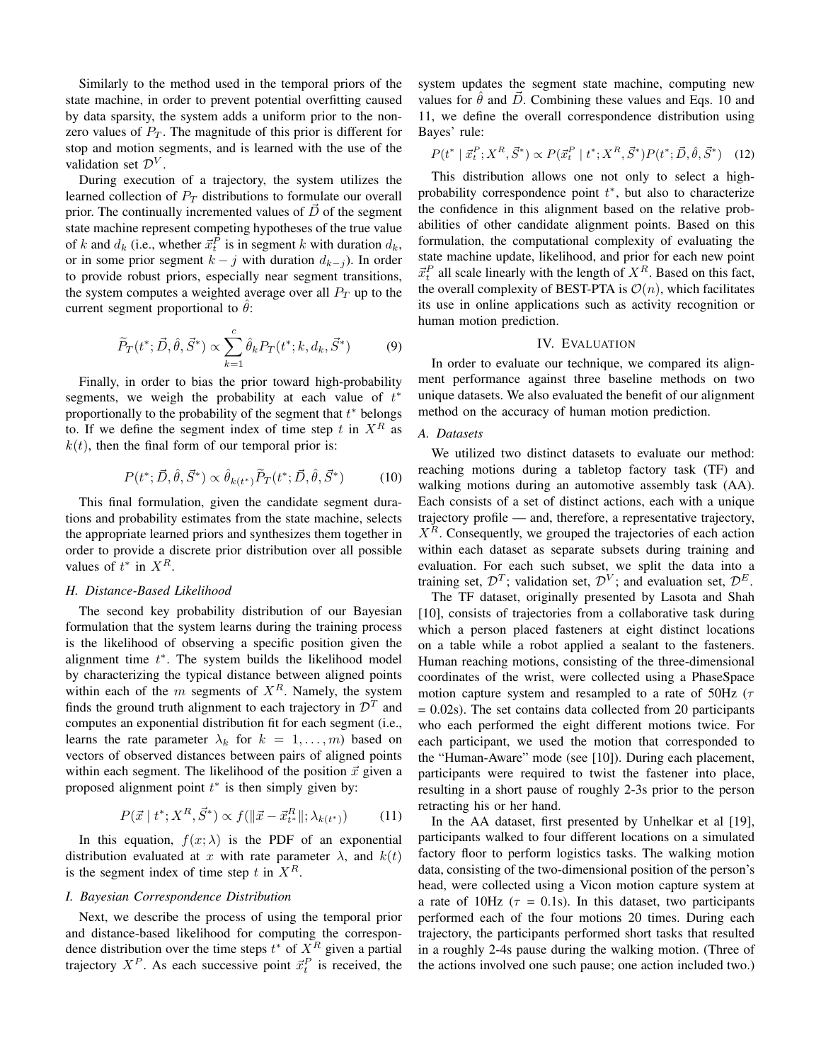Similarly to the method used in the temporal priors of the state machine, in order to prevent potential overfitting caused by data sparsity, the system adds a uniform prior to the nonzero values of  $P_T$ . The magnitude of this prior is different for stop and motion segments, and is learned with the use of the validation set  $\mathcal{D}^V$ .

During execution of a trajectory, the system utilizes the learned collection of  $P_T$  distributions to formulate our overall prior. The continually incremented values of  $\vec{D}$  of the segment state machine represent competing hypotheses of the true value of k and  $d_k$  (i.e., whether  $\vec{x}_t^P$  is in segment k with duration  $d_k$ , or in some prior segment  $k - j$  with duration  $d_{k-j}$ ). In order to provide robust priors, especially near segment transitions, the system computes a weighted average over all  $P_T$  up to the current segment proportional to  $\hat{\theta}$ :

$$
\widetilde{P}_T(t^*; \vec{D}, \hat{\theta}, \vec{S}^*) \propto \sum_{k=1}^c \hat{\theta}_k P_T(t^*; k, d_k, \vec{S}^*)
$$
(9)

Finally, in order to bias the prior toward high-probability segments, we weigh the probability at each value of  $t^*$ proportionally to the probability of the segment that  $t^*$  belongs to. If we define the segment index of time step t in  $X^R$  as  $k(t)$ , then the final form of our temporal prior is:

$$
P(t^*; \vec{D}, \hat{\theta}, \vec{S}^*) \propto \hat{\theta}_{k(t^*)} \tilde{P}_T(t^*; \vec{D}, \hat{\theta}, \vec{S}^*)
$$
(10)

This final formulation, given the candidate segment durations and probability estimates from the state machine, selects the appropriate learned priors and synthesizes them together in order to provide a discrete prior distribution over all possible values of  $t^*$  in  $X^R$ .

# H. Distance-Based Likelihood

The second key probability distribution of our Bayesian formulation that the system learns during the training process is the likelihood of observing a specific position given the alignment time  $t^*$ . The system builds the likelihood model by characterizing the typical distance between aligned points within each of the  $m$  segments of  $X<sup>R</sup>$ . Namely, the system finds the ground truth alignment to each trajectory in  $\mathcal{D}^T$  and computes an exponential distribution fit for each segment (i.e., learns the rate parameter  $\lambda_k$  for  $k = 1, ..., m$ ) based on vectors of observed distances between pairs of aligned points within each segment. The likelihood of the position  $\vec{x}$  given a proposed alignment point  $t^*$  is then simply given by:

$$
P(\vec{x} \mid t^*; X^R, \vec{S}^*) \propto f(\|\vec{x} - \vec{x}_{t^*}^R\|; \lambda_{k(t^*)})
$$
(11)

In this equation,  $f(x; \lambda)$  is the PDF of an exponential distribution evaluated at x with rate parameter  $\lambda$ , and  $k(t)$ is the segment index of time step t in  $X^R$ .

# I. Bayesian Correspondence Distribution

Next, we describe the process of using the temporal prior and distance-based likelihood for computing the correspondence distribution over the time steps  $t^*$  of  $X^R$  given a partial trajectory  $X^P$ . As each successive point  $\vec{x}_t^P$  is received, the system updates the segment state machine, computing new values for  $\hat{\theta}$  and  $\hat{D}$ . Combining these values and Eqs. 10 and 11, we define the overall correspondence distribution using Bayes' rule:

$$
P(t^* | \vec{x}_t^P; X^R, \vec{S}^*) \propto P(\vec{x}_t^P | t^*; X^R, \vec{S}^*) P(t^*; \vec{D}, \hat{\theta}, \vec{S}^*) \quad (12)
$$

This distribution allows one not only to select a highprobability correspondence point  $t^*$ , but also to characterize the confidence in this alignment based on the relative probabilities of other candidate alignment points. Based on this formulation, the computational complexity of evaluating the state machine update, likelihood, and prior for each new point  $\vec{x}_t^P$  all scale linearly with the length of  $X^R$ . Based on this fact, the overall complexity of BEST-PTA is  $\mathcal{O}(n)$ , which facilitates its use in online applications such as activity recognition or human motion prediction.

# IV. EVALUATION

In order to evaluate our technique, we compared its alignment performance against three baseline methods on two unique datasets. We also evaluated the benefit of our alignment method on the accuracy of human motion prediction.

# A. Datasets

We utilized two distinct datasets to evaluate our method: reaching motions during a tabletop factory task (TF) and walking motions during an automotive assembly task (AA). Each consists of a set of distinct actions, each with a unique trajectory profile — and, therefore, a representative trajectory,  $X<sup>R</sup>$ . Consequently, we grouped the trajectories of each action within each dataset as separate subsets during training and evaluation. For each such subset, we split the data into a training set,  $\mathcal{D}^T$ ; validation set,  $\mathcal{D}^V$ ; and evaluation set,  $\mathcal{D}^E$ .

The TF dataset, originally presented by Lasota and Shah [10], consists of trajectories from a collaborative task during which a person placed fasteners at eight distinct locations on a table while a robot applied a sealant to the fasteners. Human reaching motions, consisting of the three-dimensional coordinates of the wrist, were collected using a PhaseSpace motion capture system and resampled to a rate of 50Hz ( $\tau$  $= 0.02$ s). The set contains data collected from 20 participants who each performed the eight different motions twice. For each participant, we used the motion that corresponded to the "Human-Aware" mode (see [10]). During each placement, participants were required to twist the fastener into place, resulting in a short pause of roughly 2-3s prior to the person retracting his or her hand.

In the AA dataset, first presented by Unhelkar et al [19], participants walked to four different locations on a simulated factory floor to perform logistics tasks. The walking motion data, consisting of the two-dimensional position of the person's head, were collected using a Vicon motion capture system at a rate of 10Hz ( $\tau = 0.1$ s). In this dataset, two participants performed each of the four motions 20 times. During each trajectory, the participants performed short tasks that resulted in a roughly 2-4s pause during the walking motion. (Three of the actions involved one such pause; one action included two.)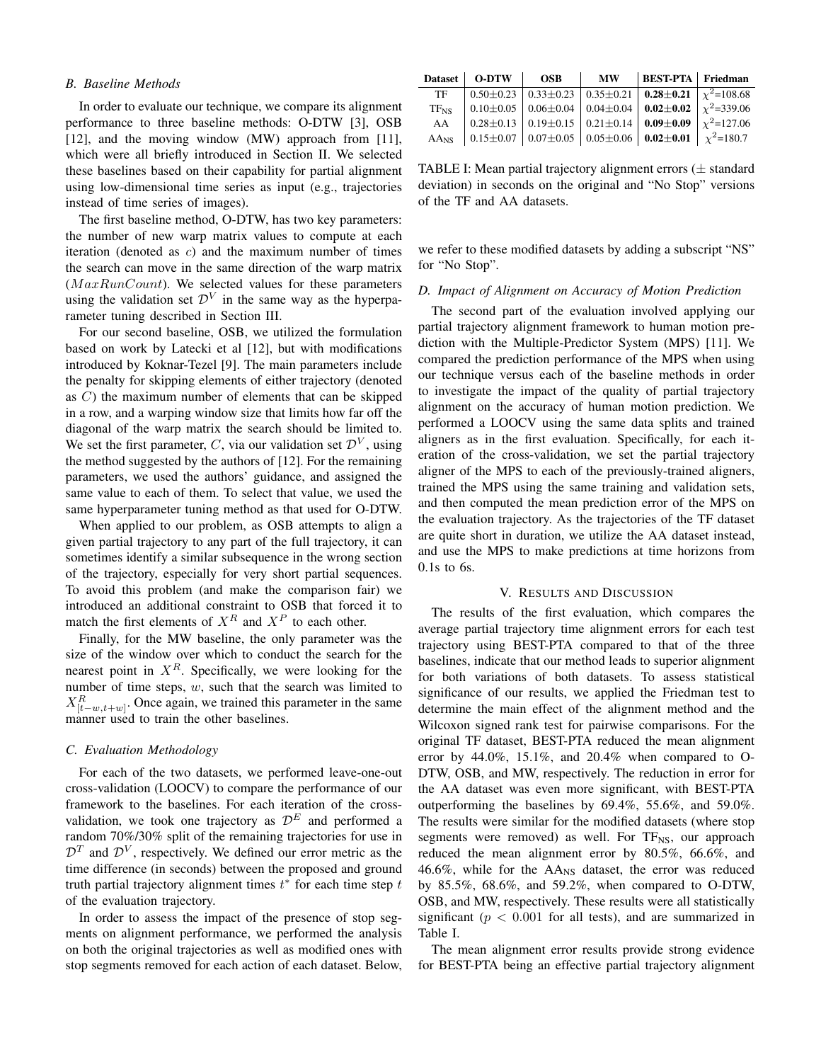## **B.** Baseline Methods

In order to evaluate our technique, we compare its alignment performance to three baseline methods: O-DTW [3], OSB [12], and the moving window  $(MW)$  approach from [11], which were all briefly introduced in Section II. We selected these baselines based on their capability for partial alignment using low-dimensional time series as input (e.g., trajectories instead of time series of images).

The first baseline method, O-DTW, has two key parameters: the number of new warp matrix values to compute at each iteration (denoted as  $c$ ) and the maximum number of times the search can move in the same direction of the warp matrix  $(MaxRunCount)$ . We selected values for these parameters using the validation set  $\mathcal{D}^V$  in the same way as the hyperparameter tuning described in Section III.

For our second baseline, OSB, we utilized the formulation based on work by Latecki et al [12], but with modifications introduced by Koknar-Tezel [9]. The main parameters include the penalty for skipping elements of either trajectory (denoted as  $C$ ) the maximum number of elements that can be skipped in a row, and a warping window size that limits how far off the diagonal of the warp matrix the search should be limited to. We set the first parameter, C, via our validation set  $\mathcal{D}^V$ , using the method suggested by the authors of [12]. For the remaining parameters, we used the authors' guidance, and assigned the same value to each of them. To select that value, we used the same hyperparameter tuning method as that used for O-DTW.

When applied to our problem, as OSB attempts to align a given partial trajectory to any part of the full trajectory, it can sometimes identify a similar subsequence in the wrong section of the trajectory, especially for very short partial sequences. To avoid this problem (and make the comparison fair) we introduced an additional constraint to OSB that forced it to match the first elements of  $X^R$  and  $X^P$  to each other.

Finally, for the MW baseline, the only parameter was the size of the window over which to conduct the search for the nearest point in  $X<sup>R</sup>$ . Specifically, we were looking for the number of time steps,  $w$ , such that the search was limited to  $X_{[t-w,t+w]}^R$ . Once again, we trained this parameter in the same manner used to train the other baselines.

# C. Evaluation Methodology

For each of the two datasets, we performed leave-one-out cross-validation (LOOCV) to compare the performance of our framework to the baselines. For each iteration of the crossvalidation, we took one trajectory as  $\mathcal{D}^E$  and performed a random 70%/30% split of the remaining trajectories for use in  $\mathcal{D}^T$  and  $\mathcal{D}^V$ , respectively. We defined our error metric as the time difference (in seconds) between the proposed and ground truth partial trajectory alignment times  $t^*$  for each time step  $t$ of the evaluation trajectory.

In order to assess the impact of the presence of stop segments on alignment performance, we performed the analysis on both the original trajectories as well as modified ones with stop segments removed for each action of each dataset. Below,

|           | Dataset   O-DTW   OSB | $\blacksquare$ MW | BEST-PTA   Friedman                                                                                              |  |
|-----------|-----------------------|-------------------|------------------------------------------------------------------------------------------------------------------|--|
| TF        |                       |                   | $\vert 0.50 \pm 0.23 \vert 0.33 \pm 0.23 \vert 0.35 \pm 0.21 \vert 0.28 \pm 0.21 \vert \chi^{2} = 108.68$        |  |
| $TF_{NS}$ |                       |                   | 0.10 $\pm$ 0.05   0.06 $\pm$ 0.04   0.04 $\pm$ 0.04   <b>0.02</b> $\pm$ <b>0.02</b>   $\chi^2$ =339.06           |  |
| AA        |                       |                   | $\vert$ 0.28 ± 0.13 $\vert$ 0.19 ± 0.15 $\vert$ 0.21 ± 0.14 $\vert$ <b>0.09 ± 0.09</b> $\vert$ $\chi^2$ = 127.06 |  |
|           |                       |                   |                                                                                                                  |  |

TABLE I: Mean partial trajectory alignment errors  $(\pm$  standard deviation) in seconds on the original and "No Stop" versions of the TF and AA datasets.

we refer to these modified datasets by adding a subscript "NS" for "No Stop".

### D. Impact of Alignment on Accuracy of Motion Prediction

The second part of the evaluation involved applying our partial trajectory alignment framework to human motion prediction with the Multiple-Predictor System (MPS) [11]. We compared the prediction performance of the MPS when using our technique versus each of the baseline methods in order to investigate the impact of the quality of partial trajectory alignment on the accuracy of human motion prediction. We performed a LOOCV using the same data splits and trained aligners as in the first evaluation. Specifically, for each iteration of the cross-validation, we set the partial trajectory aligner of the MPS to each of the previously-trained aligners, trained the MPS using the same training and validation sets, and then computed the mean prediction error of the MPS on the evaluation trajectory. As the trajectories of the TF dataset are quite short in duration, we utilize the AA dataset instead, and use the MPS to make predictions at time horizons from  $0.1s$  to 6s.

## V. RESULTS AND DISCUSSION

The results of the first evaluation, which compares the average partial trajectory time alignment errors for each test trajectory using BEST-PTA compared to that of the three baselines, indicate that our method leads to superior alignment for both variations of both datasets. To assess statistical significance of our results, we applied the Friedman test to determine the main effect of the alignment method and the Wilcoxon signed rank test for pairwise comparisons. For the original TF dataset, BEST-PTA reduced the mean alignment error by  $44.0\%$ ,  $15.1\%$ , and  $20.4\%$  when compared to O-DTW, OSB, and MW, respectively. The reduction in error for the AA dataset was even more significant, with BEST-PTA outperforming the baselines by 69.4%, 55.6%, and 59.0%. The results were similar for the modified datasets (where stop segments were removed) as well. For  $TF_{NS}$ , our approach reduced the mean alignment error by 80.5%, 66.6%, and 46.6%, while for the  $AA_{NS}$  dataset, the error was reduced by  $85.5\%$ ,  $68.6\%$ , and  $59.2\%$ , when compared to O-DTW, OSB, and MW, respectively. These results were all statistically significant ( $p < 0.001$  for all tests), and are summarized in Table I.

The mean alignment error results provide strong evidence for BEST-PTA being an effective partial trajectory alignment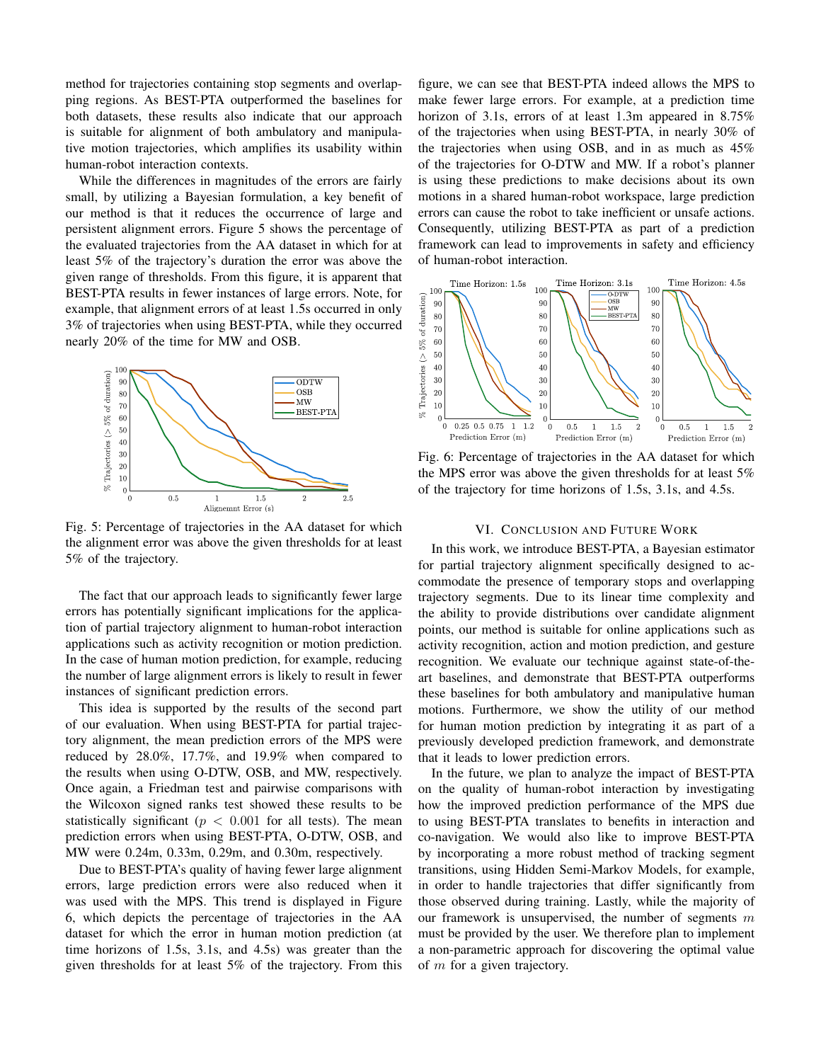method for trajectories containing stop segments and overlapping regions. As BEST-PTA outperformed the baselines for both datasets, these results also indicate that our approach is suitable for alignment of both ambulatory and manipulative motion trajectories, which amplifies its usability within human-robot interaction contexts.

While the differences in magnitudes of the errors are fairly small, by utilizing a Bayesian formulation, a key benefit of our method is that it reduces the occurrence of large and persistent alignment errors. Figure 5 shows the percentage of the evaluated trajectories from the AA dataset in which for at least 5% of the trajectory's duration the error was above the given range of thresholds. From this figure, it is apparent that BEST-PTA results in fewer instances of large errors. Note, for example, that alignment errors of at least 1.5s occurred in only 3% of trajectories when using BEST-PTA, while they occurred nearly 20% of the time for MW and OSB.



Fig. 5: Percentage of trajectories in the AA dataset for which the alignment error was above the given thresholds for at least 5% of the trajectory.

The fact that our approach leads to significantly fewer large errors has potentially significant implications for the application of partial trajectory alignment to human-robot interaction applications such as activity recognition or motion prediction. In the case of human motion prediction, for example, reducing the number of large alignment errors is likely to result in fewer instances of significant prediction errors.

This idea is supported by the results of the second part of our evaluation. When using BEST-PTA for partial trajectory alignment, the mean prediction errors of the MPS were reduced by 28.0%, 17.7%, and 19.9% when compared to the results when using O-DTW, OSB, and MW, respectively. Once again, a Friedman test and pairwise comparisons with the Wilcoxon signed ranks test showed these results to be statistically significant ( $p < 0.001$  for all tests). The mean prediction errors when using BEST-PTA, O-DTW, OSB, and MW were 0.24m, 0.33m, 0.29m, and 0.30m, respectively.

Due to BEST-PTA's quality of having fewer large alignment errors, large prediction errors were also reduced when it was used with the MPS. This trend is displayed in Figure 6, which depicts the percentage of trajectories in the AA dataset for which the error in human motion prediction (at time horizons of 1.5s, 3.1s, and 4.5s) was greater than the given thresholds for at least 5% of the trajectory. From this figure, we can see that BEST-PTA indeed allows the MPS to make fewer large errors. For example, at a prediction time horizon of 3.1s, errors of at least 1.3m appeared in 8.75% of the trajectories when using BEST-PTA, in nearly 30% of the trajectories when using OSB, and in as much as  $45\%$ of the trajectories for O-DTW and MW. If a robot's planner is using these predictions to make decisions about its own motions in a shared human-robot workspace, large prediction errors can cause the robot to take inefficient or unsafe actions. Consequently, utilizing BEST-PTA as part of a prediction framework can lead to improvements in safety and efficiency of human-robot interaction.



Fig. 6: Percentage of trajectories in the AA dataset for which the MPS error was above the given thresholds for at least  $5\%$ of the trajectory for time horizons of 1.5s, 3.1s, and 4.5s.

## VI. CONCLUSION AND FUTURE WORK

In this work, we introduce BEST-PTA, a Bayesian estimator for partial trajectory alignment specifically designed to accommodate the presence of temporary stops and overlapping trajectory segments. Due to its linear time complexity and the ability to provide distributions over candidate alignment points, our method is suitable for online applications such as activity recognition, action and motion prediction, and gesture recognition. We evaluate our technique against state-of-theart baselines, and demonstrate that BEST-PTA outperforms these baselines for both ambulatory and manipulative human motions. Furthermore, we show the utility of our method for human motion prediction by integrating it as part of a previously developed prediction framework, and demonstrate that it leads to lower prediction errors.

In the future, we plan to analyze the impact of BEST-PTA on the quality of human-robot interaction by investigating how the improved prediction performance of the MPS due to using BEST-PTA translates to benefits in interaction and co-navigation. We would also like to improve BEST-PTA by incorporating a more robust method of tracking segment transitions, using Hidden Semi-Markov Models, for example, in order to handle trajectories that differ significantly from those observed during training. Lastly, while the majority of our framework is unsupervised, the number of segments  $m$ must be provided by the user. We therefore plan to implement a non-parametric approach for discovering the optimal value of  $m$  for a given trajectory.